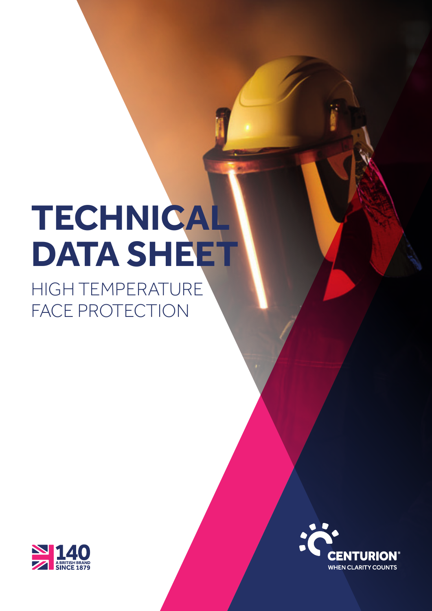# **TECHNICAL DATA SHEET**

HIGH TEMPERATURE FACE PROTECTION



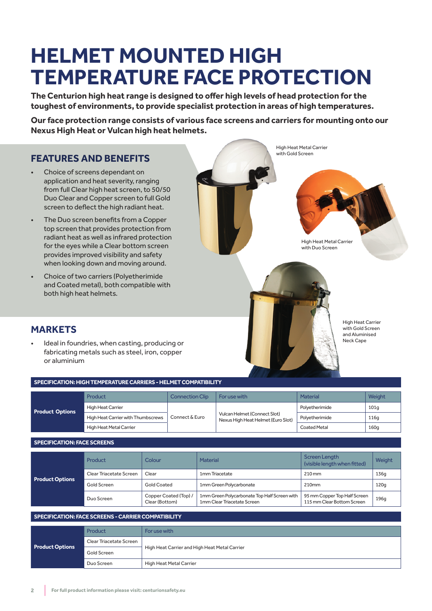# **HELMET MOUNTED HIGH TEMPERATURE FACE PROTECTION**

**The Centurion high heat range is designed to offer high levels of head protection for the toughest of environments, to provide specialist protection in areas of high temperatures.**

**Our face protection range consists of various face screens and carriers for mounting onto our Nexus High Heat or Vulcan high heat helmets.**

# **FEATURES AND BENEFITS**

- Choice of screens dependant on application and heat severity, ranging from full Clear high heat screen, to 50/50 Duo Clear and Copper screen to full Gold screen to deflect the high radiant heat.
- The Duo screen benefits from a Copper top screen that provides protection from radiant heat as well as infrared protection for the eyes while a Clear bottom screen provides improved visibility and safety when looking down and moving around.
- Choice of two carriers (Polyetherimide and Coated metal), both compatible with both high heat helmets.



High Heat Metal Carrier with Duo Screen



High Heat Metal Carrier with Gold Screen

> High Heat Carrier with Gold Screen and Aluminised Neck Cape

# **MARKETS**

Ideal in foundries, when casting, producing or fabricating metals such as steel, iron, copper or aluminium

**SPECIFICATION: HIGH TEMPERATURE CARRIERS - HELMET COMPATIBILITY**

|                        | <b>Product</b>                     | <b>Connection Clip</b> | For use with                                                       | Material       | <b>Weight</b> |
|------------------------|------------------------------------|------------------------|--------------------------------------------------------------------|----------------|---------------|
| <b>Product Options</b> | High Heat Carrier                  |                        |                                                                    | Polyetherimide | 101q          |
|                        | High Heat Carrier with Thumbscrews | Connect & Euro         | Vulcan Helmet (Connect Slot)<br>Nexus High Heat Helmet (Euro Slot) | Polyetherimide | 116g          |
|                        | High Heat Metal Carrier            |                        |                                                                    | Coated Metal   | 160q          |
|                        |                                    |                        |                                                                    |                |               |

| <b>SPECIFICATION: FACE SCREENS</b> |  |
|------------------------------------|--|
|------------------------------------|--|

|                        | <b>Product</b>          | Colour                                  | <b>Material</b>                                                             | Screen Length<br>(visible length when fitted)              | Weight |
|------------------------|-------------------------|-----------------------------------------|-----------------------------------------------------------------------------|------------------------------------------------------------|--------|
|                        | Clear Triacetate Screen | Clear                                   | 1mm Triacetate                                                              | 210 mm                                                     | 136q   |
| <b>Product Options</b> | Gold Screen             | <b>Gold Coated</b>                      | 1mm Green Polycarbonate                                                     | 210mm                                                      | 120g   |
|                        | Duo Screen              | Copper Coated (Top) /<br>Clear (Bottom) | 1mm Green Polycarbonate Top Half Screen with<br>1mm Clear Triacetate Screen | 95 mm Copper Top Half Screen<br>115 mm Clear Bottom Screen | 196q   |

### **SPECIFICATION: FACE SCREENS - CARRIER COMPATIBILITY**

| <b>Product Options</b> | Product                 | For use with                                  |
|------------------------|-------------------------|-----------------------------------------------|
|                        | Clear Triacetate Screen |                                               |
|                        | Gold Screen             | High Heat Carrier and High Heat Metal Carrier |
|                        | Duo Screen              | High Heat Metal Carrier                       |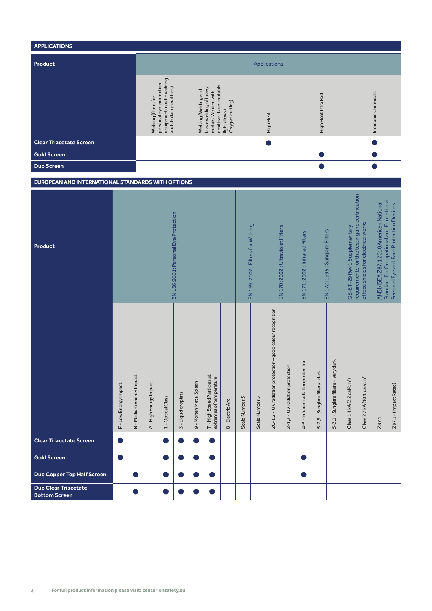| <b>APPLICATIONS</b>            |                                                                                                         |                                                                                                                                        |                  |                     |                     |  |  |  |
|--------------------------------|---------------------------------------------------------------------------------------------------------|----------------------------------------------------------------------------------------------------------------------------------------|------------------|---------------------|---------------------|--|--|--|
| Product                        | Applications                                                                                            |                                                                                                                                        |                  |                     |                     |  |  |  |
|                                | equipment used in welding<br>personal eye-protection<br>and similar operations)<br>Welding (filters for | emittive fluxes (notably<br>braze welding of heavy<br>Welding (Welding and<br>metals. Welding with<br>light allows)<br>Oxygen cutting) | <b>High Heat</b> | High Heat Infra Red | Inorganic Chemicals |  |  |  |
| <b>Clear Triacetate Screen</b> |                                                                                                         |                                                                                                                                        |                  |                     |                     |  |  |  |
| <b>Gold Screen</b>             |                                                                                                         |                                                                                                                                        |                  |                     |                     |  |  |  |
| <b>Duo Screen</b>              |                                                                                                         |                                                                                                                                        |                  |                     |                     |  |  |  |

# **EUROPEAN AND INTERNATIONAL STANDARDS WITH OPTIONS**

| <b>Product</b>                                      | EN 166:2001: Personal Eye Protection |                               |                      |                   |                     |                         |                                                      |                  | EN 169: 2002 : Filters for Welding | EN 170: 2002 : Ultraviolet Filters |                                                            | EN171:2002: Infrared Filters    |                                     | EN 172: 1995 : Sunglare Filters | GS-ET-29 Rev 1 Supplementary         | requirements for the testing and certification<br>of face shields for electrical works | Standard for Occupational and Educational<br>ANSI/ISEA Z87.12010 American National | Personal Eye and Face Protection Devices |                       |
|-----------------------------------------------------|--------------------------------------|-------------------------------|----------------------|-------------------|---------------------|-------------------------|------------------------------------------------------|------------------|------------------------------------|------------------------------------|------------------------------------------------------------|---------------------------------|-------------------------------------|---------------------------------|--------------------------------------|----------------------------------------------------------------------------------------|------------------------------------------------------------------------------------|------------------------------------------|-----------------------|
|                                                     | F-Low Energy Impact                  | <b>B-Medium Energy Impact</b> | A-High Energy Impact | 1 - Optical Class | 3 - Liquid droplets | 9 - Molten Metal Splash | T-High Speed Particles at<br>extremes of temperature | 8 - Electric Arc | Scale Number 3                     | Scale Number 5                     | 2C-1,2 - UV radiation protection - good colour recognition | 2-1,2 - UV radiation protection | 4-5 - Infrared radiation protection | 5-2,5 - Sunglare filters - dark | 5-3,1 - Sunglare filters - very dark | Class 1 4 kA (3.2 cal/cm <sup>2</sup> )                                                | Class 2 7 kA (10.1 cal/cm <sup>2</sup> )                                           | Z87.1                                    | Z87.1+ (Impact Rated) |
| <b>Clear Triacetate Screen</b>                      |                                      |                               |                      | D                 |                     |                         |                                                      |                  |                                    |                                    |                                                            |                                 |                                     |                                 |                                      |                                                                                        |                                                                                    |                                          |                       |
| <b>Gold Screen</b>                                  |                                      |                               |                      | D                 |                     |                         |                                                      |                  |                                    |                                    |                                                            |                                 |                                     |                                 |                                      |                                                                                        |                                                                                    |                                          |                       |
| Duo Copper Top Half Screen                          |                                      |                               |                      | D                 |                     |                         |                                                      |                  |                                    |                                    |                                                            |                                 |                                     |                                 |                                      |                                                                                        |                                                                                    |                                          |                       |
| <b>Duo Clear Triacetate</b><br><b>Bottom Screen</b> |                                      |                               |                      | D                 |                     |                         |                                                      |                  |                                    |                                    |                                                            |                                 |                                     |                                 |                                      |                                                                                        |                                                                                    |                                          |                       |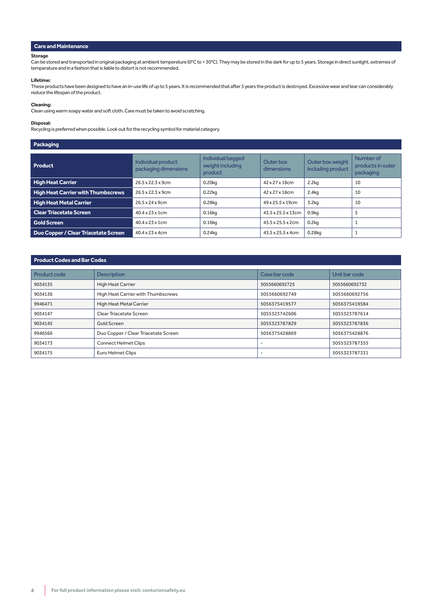#### **Care and Maintenance**

#### **Storage**

Can be stored and transported in original packaging at ambient temperature (0°C to + 30°C). They may be stored in the dark for up to 5 years. Storage in direct sunlight, extremes of temperature and in a fashion that is liable to distort is not recommended.

#### **Lifetime:**

These products have been designed to have an in-use life of up to 5 years. It is recommended that after 5 years the product is destroyed. Excessive wear and tear can considerably reduce the lifespan of the product.

## **Cleaning:**

Clean using warm soapy water and soft cloth. Care must be taken to avoid scratching.

#### **Disposal:**

Recycling is preferred when possible. Look out for the recycling symbol for material category.

#### **Packaging**

| Product                                   | Individual product<br>packaging dimensions | Individual bagged<br>weight including<br>product | Outer box<br>dimensions | Outer box weight<br>including product | Number of<br>products in outer<br>packaging |
|-------------------------------------------|--------------------------------------------|--------------------------------------------------|-------------------------|---------------------------------------|---------------------------------------------|
| <b>High Heat Carrier</b>                  | 26.5 x 22.3 x 9cm                          | $0.20$ kg                                        | 42 x 27 x 18cm          | 2.2kg                                 | 10                                          |
| <b>High Heat Carrier with Thumbscrews</b> | 26.5 x 22.3 x 9cm                          | $0.22$ kg                                        | 42 x 27 x 18cm          | 2.4 <sub>kq</sub>                     | 10                                          |
| <b>High Heat Metal Carrier</b>            | 26.5 x 24 x 9cm                            | $0.28$ kg                                        | 49 x 25.5 x 19cm        | 3.2 <sub>kq</sub>                     | 10                                          |
| <b>Clear Triacetate Screen</b>            | $40.4 \times 23 \times 1$ cm               | $0.16$ <sub>kg</sub>                             | 43.5 x 25.5 x 13cm      | 0.9 <sub>kq</sub>                     |                                             |
| <b>Gold Screen</b>                        | $40.4 \times 23 \times 1$ cm               | $0.16$ kg                                        | 43.5 x 25.5 x 2cm       | $0.2$ kg                              |                                             |
| Duo Copper / Clear Triacetate Screen      | 40.4 x 23 x 4cm                            | $0.24$ kg                                        | 43.5 x 25.5 x 4cm       | 0.28kg                                |                                             |

#### **Product Codes and Bar Codes**

| Product code | <b>Description</b>                   | Case bar code            | Unit bar code |
|--------------|--------------------------------------|--------------------------|---------------|
| 9034135      | <b>High Heat Carrier</b>             | 5055660692725            | 5055660692732 |
| 9034136      | High Heat Carrier with Thumbscrews   | 5055660692749            | 5055660692756 |
| 9946471      | High Heat Metal Carrier              | 5056375419577            | 5056375419584 |
| 9034147      | Clear Triacetate Screen              | 5055323742606            | 5055323787614 |
| 9034145      | Gold Screen                          | 5055323787829            | 5055323787836 |
| 9946566      | Duo Copper / Clear Triacetate Screen | 5056375428869            | 5056375428876 |
| 9034173      | <b>Connect Helmet Clips</b>          | $\overline{\phantom{a}}$ | 5055323787355 |
| 9034175      | Euro Helmet Clips                    | $\overline{\phantom{a}}$ | 5055323787331 |